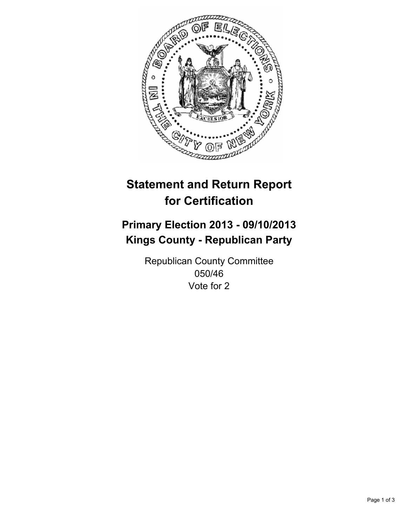

# **Statement and Return Report for Certification**

# **Primary Election 2013 - 09/10/2013 Kings County - Republican Party**

Republican County Committee 050/46 Vote for 2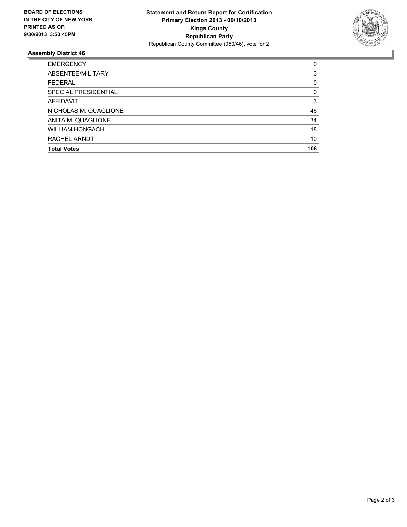

## **Assembly District 46**

| <b>EMERGENCY</b>       | 0   |
|------------------------|-----|
| ABSENTEE/MILITARY      | 3   |
| <b>FEDERAL</b>         | 0   |
| SPECIAL PRESIDENTIAL   | 0   |
| AFFIDAVIT              | 3   |
| NICHOLAS M. QUAGLIONE  | 46  |
| ANITA M. QUAGLIONE     | 34  |
| <b>WILLIAM HONGACH</b> | 18  |
| <b>RACHEL ARNDT</b>    | 10  |
| <b>Total Votes</b>     | 108 |